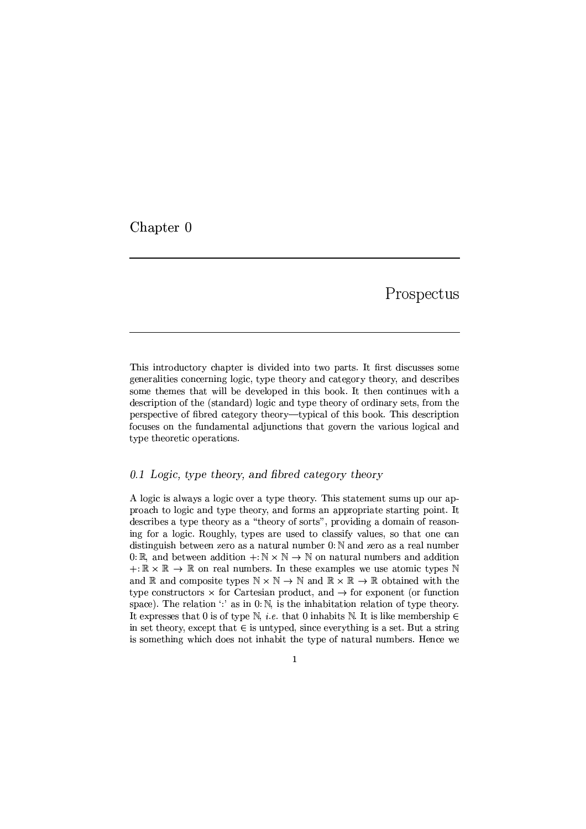Chapter 0

Prospectus

This introductory chapter is divided into two parts. It first discusses some generalities concerning logic, type theory and category theory, and describes some themes that will be developed in this book. It then continues with a description of the (standard) logic and type theory of ordinary sets, from the perspective of fibred category theory—typical of this book. This description focuses on the fundamental adjunctions that govern the various logical and type theoretic operations.

## 0.1 Logic, type theory, and fibred category theory

A logic is always a logic over a type theory. This statement sums up our approach to logic and type theory, and forms an appropriate starting point. It describes a type theory as a "theory of sorts", providing a domain of reasoning for a logic. Roughly, types are used to classify values, so that one can distinguish between zero as a natural number  $0: \mathbb{N}$  and zero as a real number 0: R, and between addition  $+: \mathbb{N} \times \mathbb{N} \to \mathbb{N}$  on natural numbers and addition  $+: \mathbb{R} \times \mathbb{R} \to \mathbb{R}$  on real numbers. In these examples we use atomic types N and  $\mathbb R$  and composite types  $\mathbb N \times \mathbb N \to \mathbb N$  and  $\mathbb R \times \mathbb R \to \mathbb R$  obtained with the type constructors  $\times$  for Cartesian product, and  $\rightarrow$  for exponent (or function space). The relation  $\cdot$  as in 0. N, is the inhabitation relation of type theory. It expresses that 0 is of type N, *i.e.* that 0 inhabits N. It is like membership  $\in$ in set theory, except that  $\in$  is untyped, since everything is a set. But a string is something which does not inhabit the type of natural numbers. Hence we

 $\mathbf{1}$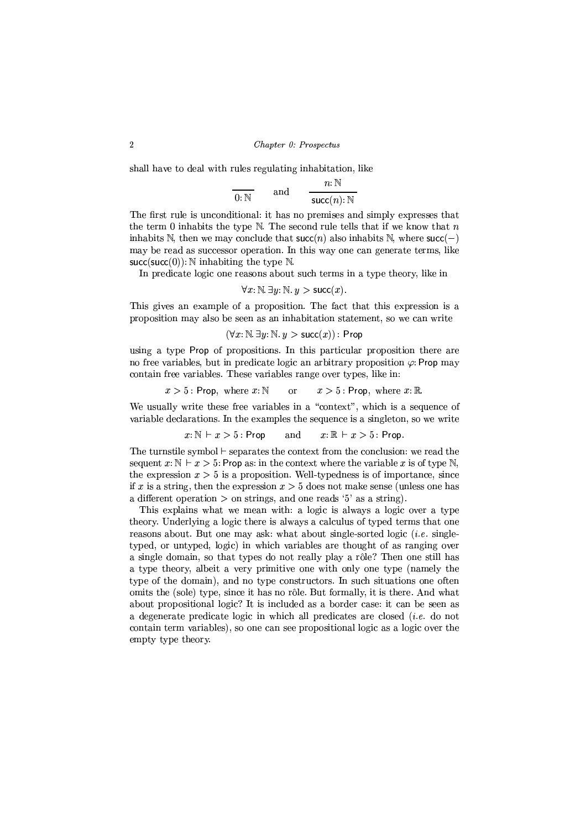shall have to deal with rules regulating inhabitation, like

$$
\frac{n:\mathbb{N}}{0:\mathbb{N}} \quad \text{and} \quad \frac{n:\mathbb{N}}{\text{succ}(n):\mathbb{N}}
$$

The first rule is unconditional: it has no premises and simply expresses that the term 0 inhabits the type  $\mathbb N$ . The second rule tells that if we know that n inhabits N, then we may conclude that  $succ(n)$  also inhabits N, where  $succ(-)$ may be read as successor operation. In this way one can generate terms, like succ(succ(0)):  $\mathbb N$  inhabiting the type  $\mathbb N$ .

In predicate logic one reasons about such terms in a type theory, like in

$$
\forall x \colon \mathbb{N} \exists y \colon \mathbb{N} \cdot y > \text{succ}(x).
$$

This gives an example of a proposition. The fact that this expression is a proposition may also be seen as an inhabitation statement, so we can write

$$
(\forall x \colon \mathbb{N}.\ \exists y \colon \mathbb{N}. \ y > \mathsf{succ}(x)) : \mathsf{Prop}
$$

using a type Prop of propositions. In this particular proposition there are no free variables, but in predicate logic an arbitrary proposition  $\varphi$ : Prop may contain free variables. These variables range over types, like in:

$$
x > 5
$$
: Prop, where  $x: \mathbb{N}$  or  $x > 5$ : Prop, where  $x: \mathbb{R}$ .

We usually write these free variables in a "context", which is a sequence of variable declarations. In the examples the sequence is a singleton, so we write

$$
x:\mathbb{N} \models x > 5:
$$
 Prop and  $x:\mathbb{R} \models x > 5:$  Prop.

The turnstile symbol  $\vdash$  separates the context from the conclusion: we read the sequent  $x:\mathbb{N} \to x > 5$ : Prop as: in the context where the variable x is of type N, the expression  $x > 5$  is a proposition. Well-typedness is of importance, since if x is a string, then the expression  $x > 5$  does not make sense (unless one has a different operation  $>$  on strings, and one reads '5' as a string).

This explains what we mean with: a logic is always a logic over a type theory. Underlying a logic there is always a calculus of typed terms that one reasons about. But one may ask: what about single-sorted logic *(i.e.* singletyped, or untyped, logic) in which variables are thought of as ranging over a single domain, so that types do not really play a rôle? Then one still has a type theory, albeit a very primitive one with only one type (namely the type of the domain), and no type constructors. In such situations one often omits the (sole) type, since it has no rôle. But formally, it is there. And what about propositional logic? It is included as a border case: it can be seen as a degenerate predicate logic in which all predicates are closed  $(i.e.$  do not contain term variables), so one can see propositional logic as a logic over the empty type theory.

 $\overline{2}$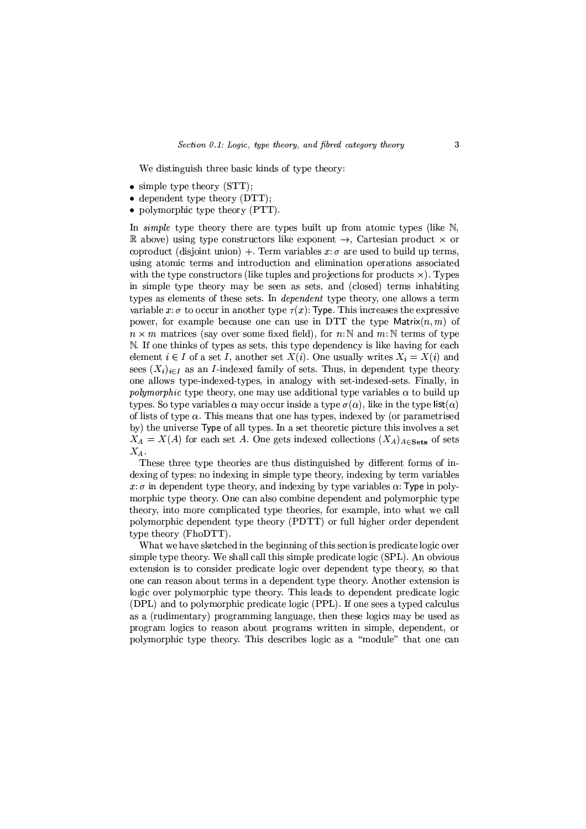We distinguish three basic kinds of type theory:

- $\bullet$  simple type theory (STT);
- dependent type theory  $(DTT)$ ;
- polymorphic type theory  $(PTT)$ .

In simple type theory there are types built up from atomic types (like  $N$ , **R** above) using type constructors like exponent  $\rightarrow$ , Cartesian product  $\times$  or coproduct (disjoint union) +. Term variables  $x: \sigma$  are used to build up terms, using atomic terms and introduction and elimination operations associated with the type constructors (like tuples and projections for products  $\times$ ). Types in simple type theory may be seen as sets, and (closed) terms inhabiting types as elements of these sets. In *dependent* type theory, one allows a term variable x:  $\sigma$  to occur in another type  $\tau(x)$ : Type. This increases the expressive power, for example because one can use in DTT the type Matrix $(n, m)$  of  $n \times m$  matrices (say over some fixed field), for n: N and m: N terms of type N. If one thinks of types as sets, this type dependency is like having for each element  $i \in I$  of a set I, another set  $X(i)$ . One usually writes  $X_i = X(i)$  and sees  $(X_i)_{i \in I}$  as an *I*-indexed family of sets. Thus, in dependent type theory one allows type-indexed-types, in analogy with set-indexed-sets. Finally, in *polymorphic* type theory, one may use additional type variables  $\alpha$  to build up types. So type variables  $\alpha$  may occur inside a type  $\sigma(\alpha)$ , like in the type  $\text{list}(\alpha)$ of lists of type  $\alpha$ . This means that one has types, indexed by (or parametrised by) the universe Type of all types. In a set theoretic picture this involves a set  $X_A = X(A)$  for each set A. One gets indexed collections  $(X_A)_{A \in \mathbf{Sets}}$  of sets  $X_A$ .

These three type theories are thus distinguished by different forms of indexing of types: no indexing in simple type theory, indexing by term variables  $x:\sigma$  in dependent type theory, and indexing by type variables  $\alpha$ : Type in polymorphic type theory. One can also combine dependent and polymorphic type theory, into more complicated type theories, for example, into what we call polymorphic dependent type theory (PDTT) or full higher order dependent type theory (FhoDTT).

What we have sketched in the beginning of this section is predicate logic over simple type theory. We shall call this simple predicate logic (SPL). An obvious extension is to consider predicate logic over dependent type theory, so that one can reason about terms in a dependent type theory. Another extension is logic over polymorphic type theory. This leads to dependent predicate logic (DPL) and to polymorphic predicate logic (PPL). If one sees a typed calculus as a (rudimentary) programming language, then these logics may be used as program logics to reason about programs written in simple, dependent, or polymorphic type theory. This describes logic as a "module" that one can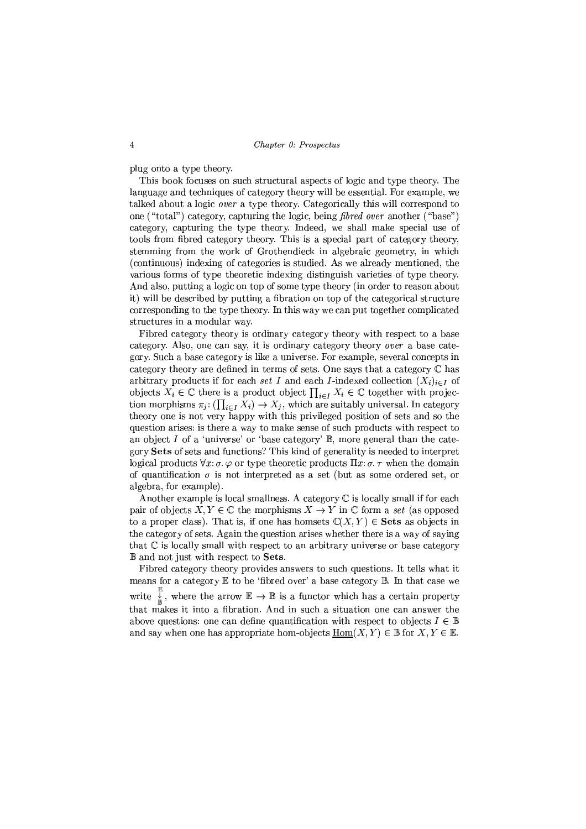plug onto a type theory.

This book focuses on such structural aspects of logic and type theory. The language and techniques of category theory will be essential. For example, we talked about a logic *over* a type theory. Categorically this will correspond to one ("total") category, capturing the logic, being *fibred over* another ("base") category, capturing the type theory. Indeed, we shall make special use of tools from fibred category theory. This is a special part of category theory, stemming from the work of Grothendieck in algebraic geometry, in which (continuous) indexing of categories is studied. As we already mentioned, the various forms of type theoretic indexing distinguish varieties of type theory. And also, putting a logic on top of some type theory (in order to reason about it) will be described by putting a fibration on top of the categorical structure corresponding to the type theory. In this way we can put together complicated structures in a modular way.

Fibred category theory is ordinary category theory with respect to a base category, Also, one can say, it is ordinary category theory *over* a base category. Such a base category is like a universe. For example, several concepts in category theory are defined in terms of sets. One says that a category  $\mathbb C$  has arbitrary products if for each set I and each I-indexed collection  $(X_i)_{i\in I}$  of objects  $X_i \in \mathbb{C}$  there is a product object  $\prod_{i \in I} X_i \in \mathbb{C}$  together with projection morphisms  $\pi_j: (\prod_{i\in I} X_i) \to X_j$ , which are suitably universal. In category theory one is not very happy with this privileged position of sets and so the question arises: is there a way to make sense of such products with respect to an object  $I$  of a 'universe' or 'base category'  $\mathbb{B}$ , more general than the category Sets of sets and functions? This kind of generality is needed to interpret logical products  $\forall x$ :  $\sigma$ .  $\varphi$  or type theoretic products  $\Pi x$ :  $\sigma$ .  $\tau$  when the domain of quantification  $\sigma$  is not interpreted as a set (but as some ordered set, or algebra, for example).

Another example is local smallness. A category  $C$  is locally small if for each pair of objects  $X, Y \in \mathbb{C}$  the morphisms  $X \to Y$  in  $\mathbb{C}$  form a set (as opposed to a proper class). That is, if one has homsets  $\mathbb{C}(X,Y) \in \mathbf{Sets}$  as objects in the category of sets. Again the question arises whether there is a way of saying that  $\mathbb C$  is locally small with respect to an arbitrary universe or base category **B** and not just with respect to Sets.

Fibred category theory provides answers to such questions. It tells what it means for a category  $E$  to be 'fibred over' a base category  $E$ . In that case we write  $\frac{1}{\ast}$ , where the arrow  $\mathbb{E} \to \mathbb{B}$  is a functor which has a certain property that makes it into a fibration. And in such a situation one can answer the above questions: one can define quantification with respect to objects  $I \in \mathbb{B}$ and say when one has appropriate hom-objects  $\text{Hom}(X,Y) \in \mathbb{B}$  for  $X, Y \in \mathbb{E}$ .

 $\overline{4}$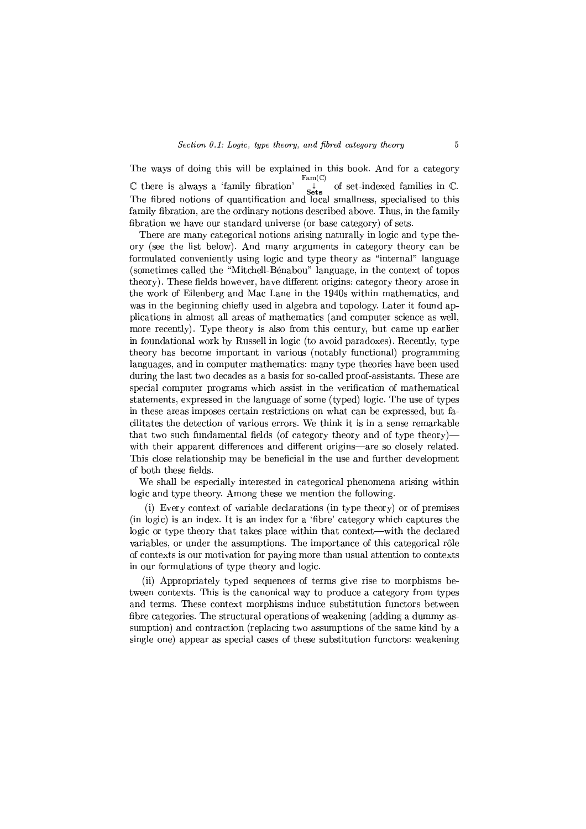The ways of doing this will be explained in this book. And for a category  $Fam(\mathbb{C})$  $\mathbb C$  there is always a 'family fibration' of set-indexed families in C.  $\mathbb C$  there is always a 'family fibration'  $\downarrow$  of set-indexed families in  $\mathbb C$ .<br>The fibred notions of quantification and local smallness, specialised to this family fibration, are the ordinary notions described above. Thus, in the family fibration we have our standard universe (or base category) of sets.

There are many categorical notions arising naturally in logic and type theory (see the list below). And many arguments in category theory can be formulated conveniently using logic and type theory as "internal" language (sometimes called the "Mitchell-Bénabou" language, in the context of topos theory). These fields however, have different origins; category theory arose in the work of Eilenberg and Mac Lane in the 1940s within mathematics, and was in the beginning chiefly used in algebra and topology. Later it found applications in almost all areas of mathematics (and computer science as well, more recently). Type theory is also from this century, but came up earlier in foundational work by Russell in logic (to avoid paradoxes). Recently, type theory has become important in various (notably functional) programming languages, and in computer mathematics: many type theories have been used during the last two decades as a basis for so-called proof-assistants. These are special computer programs which assist in the verification of mathematical statements, expressed in the language of some (typed) logic. The use of types in these areas imposes certain restrictions on what can be expressed, but facilitates the detection of various errors. We think it is in a sense remarkable that two such fundamental fields (of category theory and of type theory) with their apparent differences and different origins—are so closely related. This close relationship may be beneficial in the use and further development of both these fields.

We shall be especially interested in categorical phenomena arising within logic and type theory. Among these we mention the following.

(i) Every context of variable declarations (in type theory) or of premises (in logic) is an index. It is an index for a 'fibre' category which captures the logic or type theory that takes place within that context—with the declared variables, or under the assumptions. The importance of this categorical rôle of contexts is our motivation for paying more than usual attention to contexts in our formulations of type theory and logic.

(ii) Appropriately typed sequences of terms give rise to morphisms between contexts. This is the canonical way to produce a category from types and terms. These context morphisms induce substitution functors between fibre categories. The structural operations of weakening (adding a dummy assumption) and contraction (replacing two assumptions of the same kind by a single one) appear as special cases of these substitution functors: weakening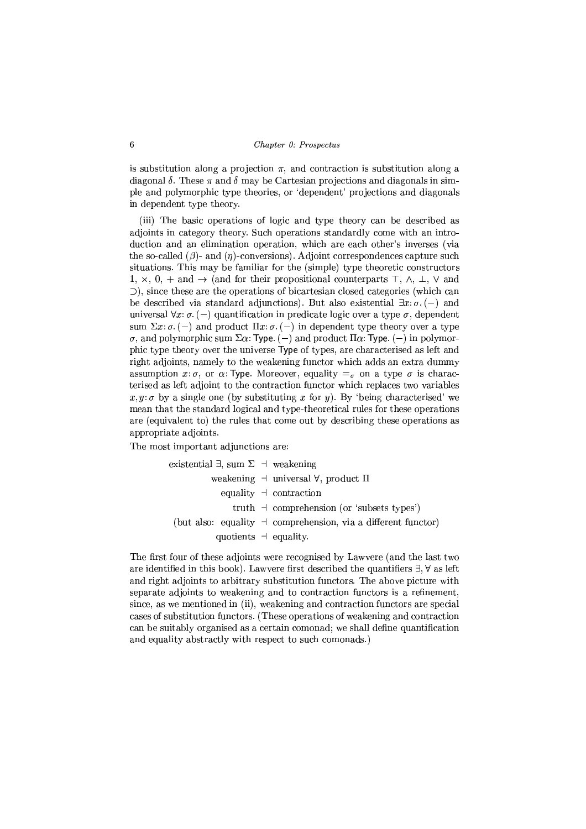is substitution along a projection  $\pi$ , and contraction is substitution along a diagonal  $\delta$ . These  $\pi$  and  $\delta$  may be Cartesian projections and diagonals in simple and polymorphic type theories, or 'dependent' projections and diagonals in dependent type theory.

(iii) The basic operations of logic and type theory can be described as adjoints in category theory. Such operations standardly come with an introduction and an elimination operation, which are each other's inverses (via the so-called  $(\beta)$ - and  $(\eta)$ -conversions). Adjoint correspondences capture such situations. This may be familiar for the (simple) type theoretic constructors 1,  $\times$ , 0, + and  $\rightarrow$  (and for their propositional counterparts  $\top$ ,  $\wedge$ ,  $\bot$ ,  $\vee$  and  $\supset$ ), since these are the operations of bicartesian closed categories (which can be described via standard adjunctions). But also existential  $\exists x:\sigma. (-)$  and universal  $\forall x:\sigma.(-)$  quantification in predicate logic over a type  $\sigma$ , dependent sum  $\Sigma x$ :  $\sigma$ . (-) and product  $\Pi x$ :  $\sigma$ . (-) in dependent type theory over a type  $\sigma$ , and polymorphic sum  $\Sigma \alpha$ : Type. (-) and product  $\Pi \alpha$ : Type. (-) in polymorphic type theory over the universe Type of types, are characterised as left and right adjoints, namely to the weakening functor which adds an extra dummy assumption x:  $\sigma$ , or  $\alpha$ : Type. Moreover, equality  $=\sigma$  on a type  $\sigma$  is characterised as left adjoint to the contraction functor which replaces two variables  $x, y: \sigma$  by a single one (by substituting x for y). By 'being characterised' we mean that the standard logical and type-theoretical rules for these operations are (equivalent to) the rules that come out by describing these operations as appropriate adjoints.

The most important adjunctions are:

ing.

existential 
$$
\exists
$$
, sum  $\Sigma \rightarrow$  weakening

\nweakening  $\rightarrow$  universal  $\forall$ , product  $\Pi$ 

\nequality  $\rightarrow$  contraction

\ntruth  $\rightarrow$  comprehension (or 'subsets types')

\n(but also: equality  $\rightarrow$  comprehension, via a different functor)

\nquotients  $\rightarrow$  equality.

The first four of these adjoints were recognised by Lawyere (and the last two are identified in this book). Lawvere first described the quantifiers  $\exists$ ,  $\forall$  as left and right adjoints to arbitrary substitution functors. The above picture with separate adjoints to weakening and to contraction functors is a refinement, since, as we mentioned in (ii), weakening and contraction functors are special cases of substitution functors. (These operations of weakening and contraction can be suitably organised as a certain comonad; we shall define quantification and equality abstractly with respect to such comonads.)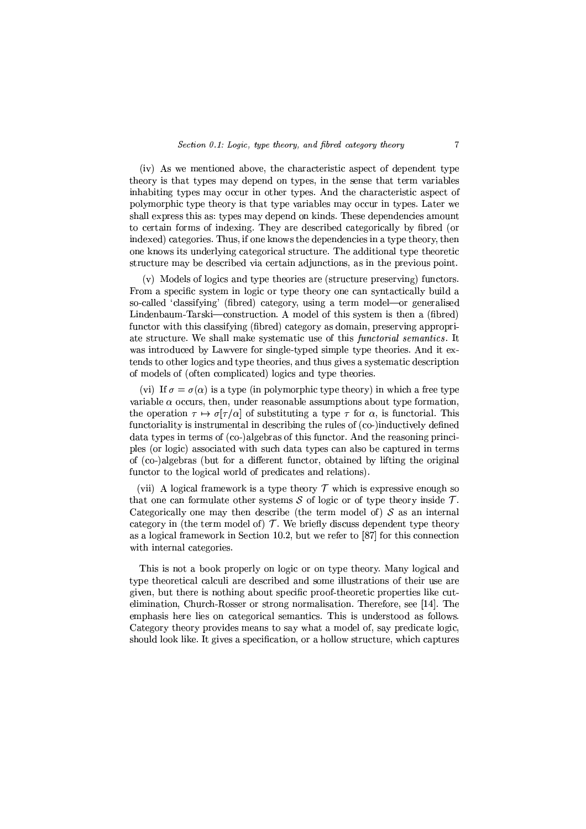(iv) As we mentioned above, the characteristic aspect of dependent type theory is that types may depend on types, in the sense that term variables inhabiting types may occur in other types. And the characteristic aspect of polymorphic type theory is that type variables may occur in types. Later we shall express this as: types may depend on kinds. These dependencies amount to certain forms of indexing. They are described categorically by fibred (or indexed) categories. Thus, if one knows the dependencies in a type theory, then one knows its underlying categorical structure. The additional type theoretic structure may be described via certain adjunctions, as in the previous point.

(v) Models of logics and type theories are (structure preserving) functors. From a specific system in logic or type theory one can syntactically build a so-called 'classifying' (fibred) category, using a term model-or generalised Lindenbaum-Tarski—construction. A model of this system is then a (fibred) functor with this classifying (fibred) category as domain, preserving appropriate structure. We shall make systematic use of this functorial semantics. It was introduced by Lawvere for single-typed simple type theories. And it extends to other logics and type theories, and thus gives a systematic description of models of (often complicated) logics and type theories.

(vi) If  $\sigma = \sigma(\alpha)$  is a type (in polymorphic type theory) in which a free type variable  $\alpha$  occurs, then, under reasonable assumptions about type formation, the operation  $\tau \mapsto \sigma[\tau/\alpha]$  of substituting a type  $\tau$  for  $\alpha$ , is functorial. This functoriality is instrumental in describing the rules of (co-)inductively defined data types in terms of (co-)algebras of this functor. And the reasoning principles (or logic) associated with such data types can also be captured in terms of (co-)algebras (but for a different functor, obtained by lifting the original functor to the logical world of predicates and relations).

(vii) A logical framework is a type theory  $\mathcal T$  which is expressive enough so that one can formulate other systems  $S$  of logic or of type theory inside  $T$ . Categorically one may then describe (the term model of)  $S$  as an internal category in (the term model of)  $T$ . We briefly discuss dependent type theory as a logical framework in Section 10.2, but we refer to [87] for this connection with internal categories.

This is not a book properly on logic or on type theory. Many logical and type theoretical calculi are described and some illustrations of their use are given, but there is nothing about specific proof-theoretic properties like cutelimination, Church-Rosser or strong normalisation. Therefore, see [14]. The emphasis here lies on categorical semantics. This is understood as follows. Category theory provides means to say what a model of, say predicate logic, should look like. It gives a specification, or a hollow structure, which captures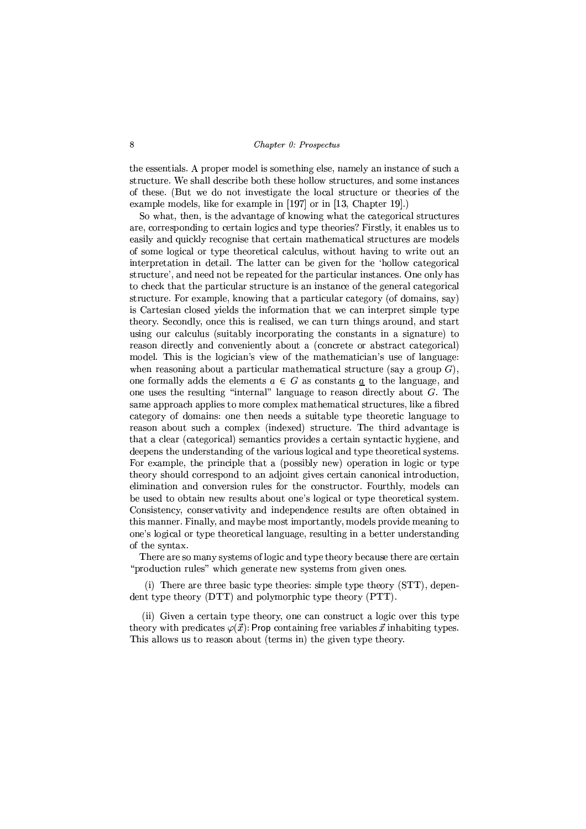the essentials. A proper model is something else, namely an instance of such a structure. We shall describe both these hollow structures, and some instances of these. (But we do not investigate the local structure or theories of the example models, like for example in [197] or in [13, Chapter 19].)

So what, then, is the advantage of knowing what the categorical structures are, corresponding to certain logics and type theories? Firstly, it enables us to easily and quickly recognise that certain mathematical structures are models of some logical or type theoretical calculus, without having to write out an interpretation in detail. The latter can be given for the 'hollow categorical structure', and need not be repeated for the particular instances. One only has to check that the particular structure is an instance of the general categorical structure. For example, knowing that a particular category (of domains, say) is Cartesian closed vields the information that we can interpret simple type theory. Secondly, once this is realised, we can turn things around, and start using our calculus (suitably incorporating the constants in a signature) to reason directly and conveniently about a (concrete or abstract categorical) model. This is the logician's view of the mathematician's use of language: when reasoning about a particular mathematical structure (say a group  $G$ ), one formally adds the elements  $a \in G$  as constants <u>a</u> to the language, and one uses the resulting "internal" language to reason directly about  $G$ . The same approach applies to more complex mathematical structures, like a fibred category of domains: one then needs a suitable type theoretic language to reason about such a complex (indexed) structure. The third advantage is that a clear (categorical) semantics provides a certain syntactic hygiene, and deepens the understanding of the various logical and type theoretical systems. For example, the principle that a (possibly new) operation in logic or type theory should correspond to an adjoint gives certain canonical introduction, elimination and conversion rules for the constructor. Fourthly, models can be used to obtain new results about one's logical or type theoretical system. Consistency, conservativity and independence results are often obtained in this manner. Finally, and maybe most importantly, models provide meaning to one's logical or type theoretical language, resulting in a better understanding of the syntax.

There are so many systems of logic and type theory because there are certain "production rules" which generate new systems from given ones.

(i) There are three basic type theories: simple type theory (STT), dependent type theory (DTT) and polymorphic type theory (PTT).

(ii) Given a certain type theory, one can construct a logic over this type theory with predicates  $\varphi(\vec{x})$ : Prop containing free variables  $\vec{x}$  inhabiting types. This allows us to reason about (terms in) the given type theory.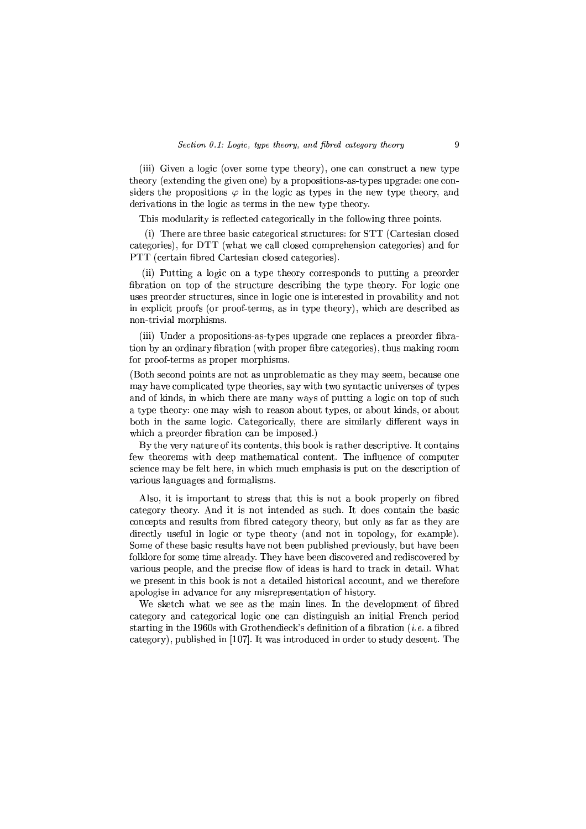(iii) Given a logic (over some type theory), one can construct a new type theory (extending the given one) by a propositions-as-types upgrade: one considers the propositions  $\varphi$  in the logic as types in the new type theory, and derivations in the logic as terms in the new type theory.

This modularity is reflected categorically in the following three points.

(i) There are three basic categorical structures: for STT (Cartesian closed categories), for DTT (what we call closed comprehension categories) and for PTT (certain fibred Cartesian closed categories).

(ii) Putting a logic on a type theory corresponds to putting a preorder fibration on top of the structure describing the type theory. For logic one uses preorder structures, since in logic one is interested in provability and not in explicit proofs (or proof-terms, as in type theory), which are described as non-trivial morphisms.

(iii) Under a propositions-as-types upgrade one replaces a preorder fibration by an ordinary fibration (with proper fibre categories), thus making room for proof-terms as proper morphisms.

(Both second points are not as unproblematic as they may seem, because one may have complicated type theories, say with two syntactic universes of types and of kinds, in which there are many ways of putting a logic on top of such a type theory: one may wish to reason about types, or about kinds, or about both in the same logic. Categorically, there are similarly different ways in which a preorder fibration can be imposed.)

By the very nature of its contents, this book is rather descriptive. It contains few theorems with deep mathematical content. The influence of computer science may be felt here, in which much emphasis is put on the description of various languages and formalisms.

Also, it is important to stress that this is not a book properly on fibred category theory. And it is not intended as such. It does contain the basic concepts and results from fibred category theory, but only as far as they are directly useful in logic or type theory (and not in topology, for example). Some of these basic results have not been published previously, but have been folklore for some time already. They have been discovered and rediscovered by various people, and the precise flow of ideas is hard to track in detail. What we present in this book is not a detailed historical account, and we therefore apologise in advance for any misrepresentation of history.

We sketch what we see as the main lines. In the development of fibred category and categorical logic one can distinguish an initial French period starting in the 1960s with Grothendieck's definition of a fibration  $(i.e.$  a fibred category), published in [107]. It was introduced in order to study descent. The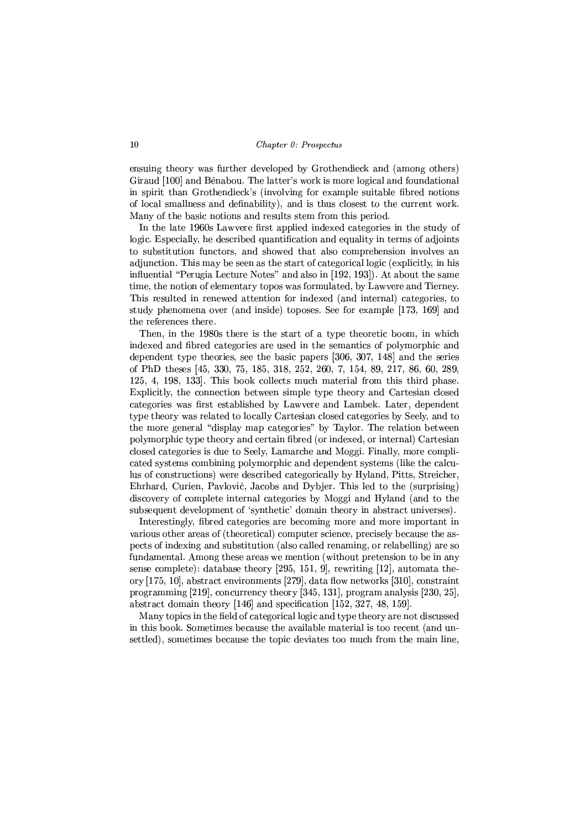ensuing theory was further developed by Grothendieck and (among others) Giraud [100] and Bénabou. The latter's work is more logical and foundational in spirit than Grothendieck's (involving for example suitable fibred notions of local smallness and definability), and is thus closest to the current work. Many of the basic notions and results stem from this period.

In the late 1960s Lawvere first applied indexed categories in the study of logic. Especially, he described quantification and equality in terms of adjoints to substitution functors, and showed that also comprehension involves an adjunction. This may be seen as the start of categorical logic (explicitly, in his influential "Perugia Lecture Notes" and also in [192, 193]). At about the same time, the notion of elementary topos was formulated, by Lawyere and Tierney. This resulted in renewed attention for indexed (and internal) categories, to study phenomena over (and inside) toposes. See for example [173, 169] and the references there.

Then, in the 1980s there is the start of a type theoretic boom, in which indexed and fibred categories are used in the semantics of polymorphic and dependent type theories, see the basic papers [306, 307, 148] and the series of PhD theses [45, 330, 75, 185, 318, 252, 260, 7, 154, 89, 217, 86, 60, 289, 125, 4, 198, 133. This book collects much material from this third phase. Explicitly, the connection between simple type theory and Cartesian closed categories was first established by Lawvere and Lambek. Later, dependent type theory was related to locally Cartesian closed categories by Seely, and to the more general "display map categories" by Taylor. The relation between polymorphic type theory and certain fibred (or indexed, or internal) Cartesian closed categories is due to Seely, Lamarche and Moggi. Finally, more complicated systems combining polymorphic and dependent systems (like the calculus of constructions) were described categorically by Hyland, Pitts, Streicher, Ehrhard, Curien, Paylović, Jacobs and Dybjer. This led to the (surprising) discovery of complete internal categories by Moggi and Hyland (and to the subsequent development of 'synthetic' domain theory in abstract universes).

Interestingly, fibred categories are becoming more and more important in various other areas of (theoretical) computer science, precisely because the aspects of indexing and substitution (also called renaming, or relabelling) are so fundamental. Among these areas we mention (without pretension to be in any sense complete): database theory [295, 151, 9], rewriting [12], automata theory [175, 10], abstract environments [279], data flow networks [310], constraint programming [219], concurrency theory [345, 131], program analysis [230, 25], abstract domain theory  $[146]$  and specification  $[152, 327, 48, 159]$ .

Many topics in the field of categorical logic and type theory are not discussed in this book. Sometimes because the available material is too recent (and unsettled), sometimes because the topic deviates too much from the main line,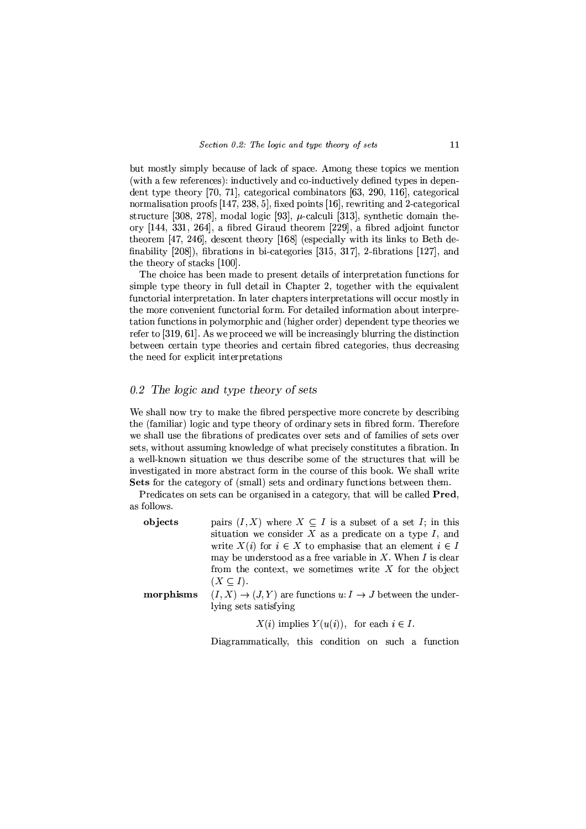but mostly simply because of lack of space. Among these topics we mention (with a few references): inductively and co-inductively defined types in dependent type theory [70, 71], categorical combinators [63, 290, 116], categorical normalisation proofs [147, 238, 5], fixed points [16], rewriting and 2-categorical structure [308, 278], modal logic [93],  $\mu$ -calculi [313], synthetic domain theory [144, 331, 264], a fibred Giraud theorem [229], a fibred adjoint functor theorem [47, 246], descent theory [168] (especially with its links to Beth definability  $[208]$ , fibrations in bi-categories  $[315, 317]$ , 2-fibrations  $[127]$ , and the theory of stacks [100].

The choice has been made to present details of interpretation functions for simple type theory in full detail in Chapter 2, together with the equivalent functorial interpretation. In later chapters interpretations will occur mostly in the more convenient functorial form. For detailed information about interpretation functions in polymorphic and (higher order) dependent type theories we refer to  $[319, 61]$ . As we proceed we will be increasingly blurring the distinction between certain type theories and certain fibred categories, thus decreasing the need for explicit interpretations

## 0.2 The logic and type theory of sets

We shall now try to make the fibred perspective more concrete by describing the (familiar) logic and type theory of ordinary sets in fibred form. Therefore we shall use the fibrations of predicates over sets and of families of sets over sets, without assuming knowledge of what precisely constitutes a fibration. In a well-known situation we thus describe some of the structures that will be investigated in more abstract form in the course of this book. We shall write **Sets** for the category of (small) sets and ordinary functions between them.

Predicates on sets can be organised in a category, that will be called **Pred**. as follows.

| objects   | pairs $(I, X)$ where $X \subseteq I$ is a subset of a set I; in this |
|-----------|----------------------------------------------------------------------|
|           | situation we consider $X$ as a predicate on a type $I$ , and         |
|           | write $X(i)$ for $i \in X$ to emphasise that an element $i \in I$    |
|           | may be understood as a free variable in $X$ . When $I$ is clear      |
|           | from the context, we sometimes write $X$ for the object              |
|           | $(X \subseteq I)$ .                                                  |
| morphisms | $(I, X) \to (J, Y)$ are functions $u: I \to J$ between the under-    |
|           | lying sets satisfying                                                |

 $X(i)$  implies  $Y(u(i))$ , for each  $i \in I$ .

Diagrammatically, this condition on such a function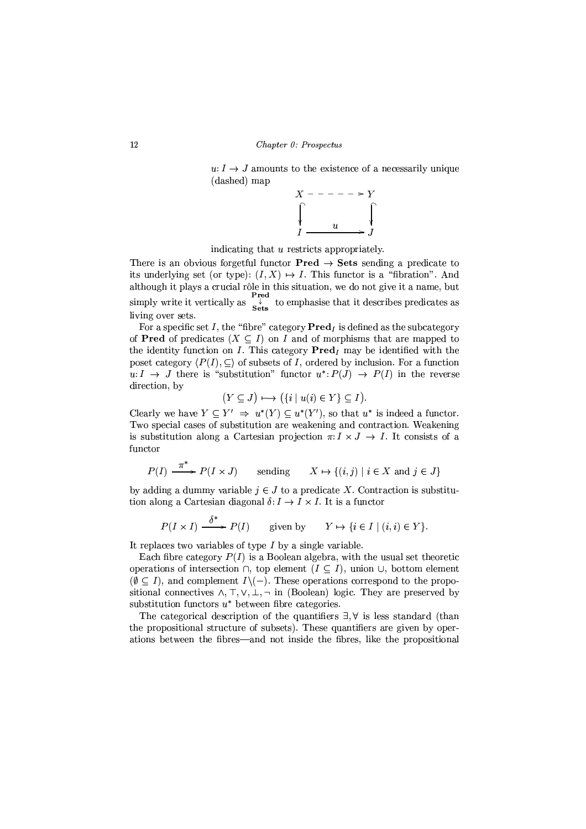$u: I \to J$  amounts to the existence of a necessarily unique (dashed) map



indicating that u restricts appropriately.

There is an obvious forgetful functor  $Pred \rightarrow Sets$  sending a predicate to its underlying set (or type):  $(I, X) \mapsto I$ . This functor is a "fibration". And although it plays a crucial rôle in this situation, we do not give it a name, but simply write it vertically as  $\frac{1}{s}$  to emphasise that it describes predicates as living over sets.

For a specific set I, the "fibre" category  $\mathbf{Pred}_I$  is defined as the subcategory of **Pred** of predicates  $(X \subseteq I)$  on I and of morphisms that are mapped to the identity function on I. This category  $\textbf{Pred}_I$  may be identified with the poset category  $\langle P(I), \subseteq \rangle$  of subsets of I, ordered by inclusion. For a function  $u: I \to J$  there is "substitution" functor  $u^*: P(J) \to P(I)$  in the reverse direction, by

$$
(Y \subseteq J) \longmapsto (\{i \mid u(i) \in Y\} \subseteq I).
$$

Clearly we have  $Y \subseteq Y' \implies u^*(Y) \subseteq u^*(Y')$ , so that  $u^*$  is indeed a functor. Two special cases of substitution are weakening and contraction. Weakening is substitution along a Cartesian projection  $\pi: I \times J \to I$ . It consists of a functor

$$
P(I) \xrightarrow{\pi^*} P(I \times J) \qquad \text{ sending } \qquad X \mapsto \{(i,j) \mid i \in X \text{ and } j \in J\}
$$

by adding a dummy variable  $j \in J$  to a predicate X. Contraction is substitution along a Cartesian diagonal  $\delta: I \to I \times I$ . It is a functor

$$
P(I \times I) \xrightarrow{\delta^*} P(I)
$$
 given by  $Y \mapsto \{i \in I \mid (i, i) \in Y\}.$ 

It replaces two variables of type  $I$  by a single variable.

Each fibre category  $P(I)$  is a Boolean algebra, with the usual set theoretic operations of intersection  $\cap$ , top element  $(I \subseteq I)$ , union  $\cup$ , bottom element  $(\emptyset \subseteq I)$ , and complement  $I \setminus (-)$ . These operations correspond to the propositional connectives  $\wedge$ ,  $\top$ ,  $\vee$ ,  $\bot$ ,  $\neg$  in (Boolean) logic. They are preserved by substitution functors  $u^*$  between fibre categories.

The categorical description of the quantifiers  $\exists$ ,  $\forall$  is less standard (than the propositional structure of subsets). These quantifiers are given by operations between the fibres—and not inside the fibres, like the propositional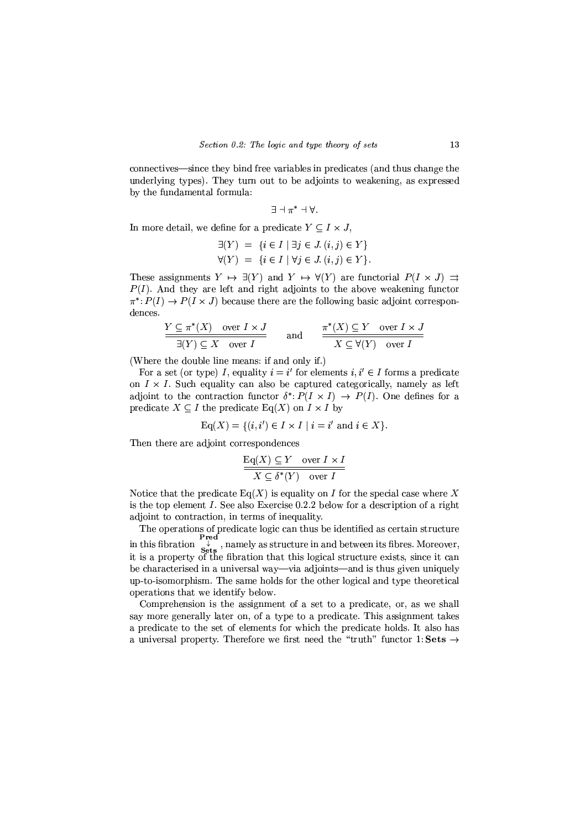connectives—since they bind free variables in predicates (and thus change the underlying types). They turn out to be adjoints to weakening, as expressed by the fundamental formula:

$$
\exists \neg \pi^* \neg \forall
$$

In more detail, we define for a predicate  $Y \subseteq I \times J$ ,

$$
\exists (Y) = \{i \in I \mid \exists j \in J. (i, j) \in Y\}
$$
  

$$
\forall (Y) = \{i \in I \mid \forall j \in J. (i, j) \in Y\}.
$$

These assignments  $Y \mapsto \exists (Y)$  and  $Y \mapsto \forall (Y)$  are functorial  $P(I \times J) \implies$  $P(I)$ . And they are left and right adjoints to the above weakening functor  $\pi^*: P(I) \to P(I \times J)$  because there are the following basic adjoint correspondences.

$$
\frac{Y \subseteq \pi^*(X) \quad \text{over } I \times J}{\exists (Y) \subseteq X \quad \text{over } I} \qquad \text{and} \qquad \frac{\pi^*(X) \subseteq Y \quad \text{over } I \times J}{X \subseteq \forall (Y) \quad \text{over } I}
$$

(Where the double line means: if and only if.)

For a set (or type) I, equality  $i = i'$  for elements  $i, i' \in I$  forms a predicate on  $I \times I$ . Such equality can also be captured categorically, namely as left adjoint to the contraction functor  $\delta^*: P(I \times I) \to P(I)$ . One defines for a predicate  $X \subseteq I$  the predicate Eq(X) on  $I \times I$  by

$$
\operatorname{Eq}(X) = \{(i, i') \in I \times I \mid i = i' \text{ and } i \in X\}.
$$

Then there are adjoint correspondences

$$
\frac{\text{Eq}(X) \subseteq Y \quad \text{over } I \times I}{X \subseteq \delta^*(Y) \quad \text{over } I}
$$

Notice that the predicate  $Eq(X)$  is equality on I for the special case where X is the top element  $I$ . See also Exercise 0.2.2 below for a description of a right adioint to contraction, in terms of inequality.

The operations of predicate logic can thus be identified as certain structure in this fibration  $\frac{Pred}{P}$ , namely as structure in and between its fibres. Moreover,<br>it is a property of the fibration that this logical structure exists, since it can be characterised in a universal way-via adjoints-and is thus given uniquely up-to-isomorphism. The same holds for the other logical and type theoretical operations that we identify below.

Comprehension is the assignment of a set to a predicate, or, as we shall say more generally later on, of a type to a predicate. This assignment takes a predicate to the set of elements for which the predicate holds. It also has a universal property. Therefore we first need the "truth" functor 1: Sets  $\rightarrow$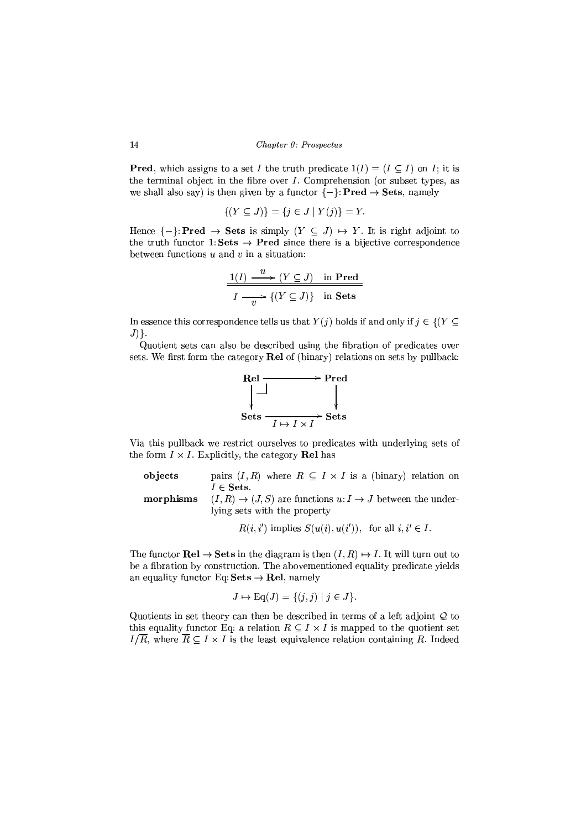**Pred**, which assigns to a set I the truth predicate  $1(I) = (I \subset I)$  on I; it is the terminal object in the fibre over  $I$ . Comprehension (or subset types, as we shall also say) is then given by a functor  $\{-\}$ : **Pred**  $\rightarrow$  **Sets**, namely

$$
\{(Y \subseteq J)\} = \{j \in J \mid Y(j)\} = Y.
$$

Hence  $\{-\} \colon \mathbf{Pred} \to \mathbf{Sets}$  is simply  $(Y \subseteq J) \mapsto Y$ . It is right adjoint to the truth functor 1: Sets  $\rightarrow$  Pred since there is a bijective correspondence between functions  $u$  and  $v$  in a situation:

$$
\frac{1(I) \xrightarrow{u} (Y \subseteq J) \text{ in Pred}}{I \xrightarrow{v} \{(Y \subseteq J)\} \text{ in Sets}}
$$

In essence this correspondence tells us that  $Y(j)$  holds if and only if  $j \in \{(Y \subseteq$  $J$ ) }.

Quotient sets can also be described using the fibration of predicates over sets. We first form the category Rel of (binary) relations on sets by pullback:



Via this pullback we restrict ourselves to predicates with underlying sets of the form  $I \times I$ . Explicitly, the category Rel has

| objects   | pairs $(I, R)$ where $R \subseteq I \times I$ is a (binary) relation on           |
|-----------|-----------------------------------------------------------------------------------|
|           | $I \in \mathbf{Sets}.$                                                            |
| morphisms | $(I, R) \rightarrow (J, S)$ are functions $u: I \rightarrow J$ between the under- |
|           | lying sets with the property                                                      |
|           |                                                                                   |

 $R(i, i')$  implies  $S(u(i), u(i'))$ , for all  $i, i' \in I$ .

The functor  $\text{Rel} \to \text{Sets}$  in the diagram is then  $(I, R) \mapsto I$ . It will turn out to be a fibration by construction. The abovementioned equality predicate yields an equality functor Eq: Sets  $\rightarrow$  Rel, namely

$$
J \mapsto \mathrm{Eq}(J) = \{ (j,j) \mid j \in J \}.
$$

Quotients in set theory can then be described in terms of a left adjoint  $Q$  to this equality functor Eq: a relation  $R \subseteq I \times I$  is mapped to the quotient set  $I/\overline{R}$ , where  $\overline{R} \subseteq I \times I$  is the least equivalence relation containing R. Indeed

14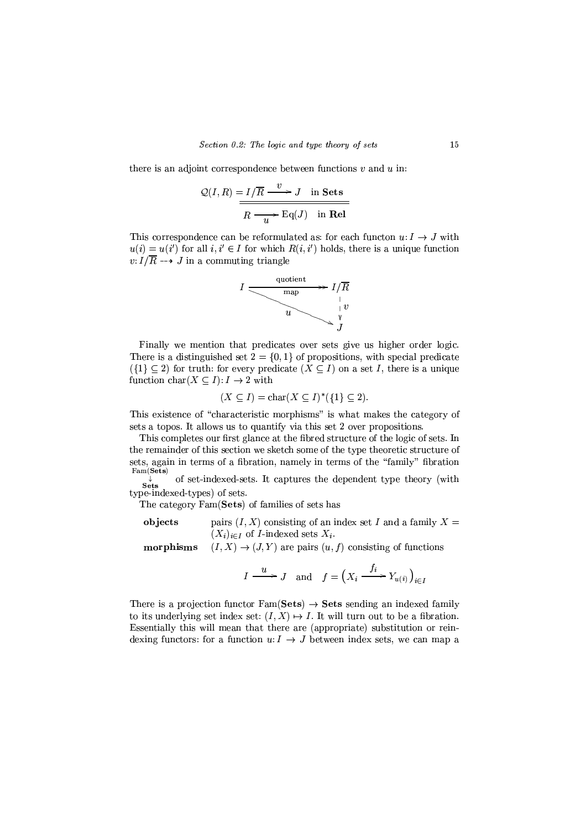there is an adjoint correspondence between functions  $v$  and  $u$  in:

$$
Q(I, R) = I/\overline{R} \xrightarrow{v} J \text{ in Sets}
$$

$$
\overline{R \xrightarrow{v} \text{Eq}(J) \text{ in Rel}}
$$

This correspondence can be reformulated as: for each function  $u: I \to J$  with  $u(i) = u(i')$  for all  $i, i' \in I$  for which  $R(i, i')$  holds, there is a unique function  $v: I/\overline{R} \longrightarrow J$  in a commuting triangle



Finally we mention that predicates over sets give us higher order logic. There is a distinguished set  $2 = \{0, 1\}$  of propositions, with special predicate  $({1} \subset 2)$  for truth: for every predicate  $(X \subseteq I)$  on a set I, there is a unique function char( $X \subseteq I$ ):  $I \rightarrow 2$  with

$$
(X \subseteq I) = \text{char}(X \subseteq I)^{*}(\{1\} \subseteq 2).
$$

This existence of "characteristic morphisms" is what makes the category of sets a topos. It allows us to quantify via this set 2 over propositions.

This completes our first glance at the fibred structure of the logic of sets. In the remainder of this section we sketch some of the type theoretic structure of sets, again in terms of a fibration, namely in terms of the "family" fibration  $Fam(Sets)$ 

of set-indexed-sets. It captures the dependent type theory (with Sets type-indexed-types) of sets.

The category Fam(Sets) of families of sets has

pairs  $(I, X)$  consisting of an index set I and a family  $X =$ objects  $(X_i)_{i \in I}$  of *I*-indexed sets  $X_i$ .

 $(I, X) \rightarrow (J, Y)$  are pairs  $(u, f)$  consisting of functions morphisms

$$
I \xrightarrow{u} J \quad \text{and} \quad f = \left( X_i \xrightarrow{f_i} Y_{u(i)} \right)_{i \in I}
$$

There is a projection functor  $Fam(Sets) \rightarrow Sets$  sending an indexed family to its underlying set index set:  $(I, X) \mapsto I$ . It will turn out to be a fibration. Essentially this will mean that there are (appropriate) substitution or reindexing functors: for a function  $u: I \to J$  between index sets, we can map a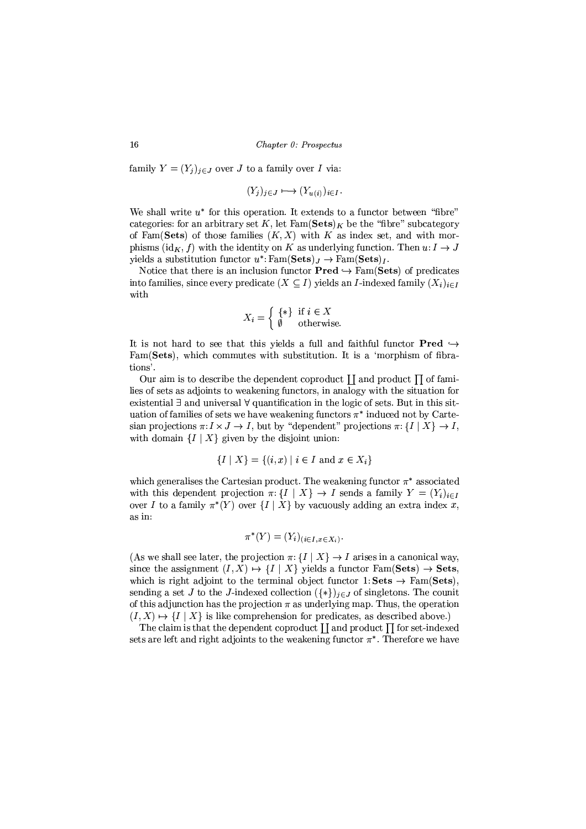family  $Y = (Y_i)_{i \in J}$  over J to a family over I via:

$$
(Y_i)_{i \in J} \longmapsto (Y_{u(i)})_{i \in I}.
$$

We shall write  $u^*$  for this operation. It extends to a functor between "fibre" categories: for an arbitrary set K, let  $\text{Fam}(Sets)_K$  be the "fibre" subcategory of Fam(Sets) of those families  $(K, X)$  with K as index set, and with morphisms (id<sub>K</sub>, f) with the identity on K as underlying function. Then  $u: I \to J$ yields a substitution functor  $u^*$ : Fam(Sets)<sub>J</sub>  $\rightarrow$  Fam(Sets)<sub>J</sub>.

Notice that there is an inclusion functor  $Pred \hookrightarrow \text{Fam}(Sets)$  of predicates into families, since every predicate  $(X \subseteq I)$  yields an *I*-indexed family  $(X_i)_{i \in I}$ with

$$
X_i = \left\{ \begin{array}{l} \{ * \} \text{ if } i \in X \\ \emptyset \quad \text{ otherwise.} \end{array} \right.
$$

It is not hard to see that this yields a full and faithful functor **Pred**  $\hookrightarrow$ Fam(Sets), which commutes with substitution. It is a 'morphism of fibrations'.

Our aim is to describe the dependent coproduct  $\prod$  and product  $\prod$  of families of sets as adjoints to weakening functors, in analogy with the situation for existential  $\exists$  and universal  $\forall$  quantification in the logic of sets. But in this situation of families of sets we have weakening functors  $\pi^*$  induced not by Cartesian projections  $\pi: I \times J \to I$ , but by "dependent" projections  $\pi: \{I | X\} \to I$ , with domain  $\{I | X\}$  given by the disjoint union:

$$
\{I \mid X\} = \{(i, x) \mid i \in I \text{ and } x \in X_i\}
$$

which generalises the Cartesian product. The weakening functor  $\pi^*$  associated with this dependent projection  $\pi: \{I | X\} \to I$  sends a family  $Y = (Y_i)_{i \in I}$ over I to a family  $\pi^*(Y)$  over  $\{I | X\}$  by vacuously adding an extra index x. as in:

$$
\pi^*(Y) = (Y_i)_{(i \in I, x \in X_i)}.
$$

(As we shall see later, the projection  $\pi: \{I | X\} \to I$  arises in a canonical way. since the assignment  $(I, X) \mapsto \{I \mid X\}$  yields a functor  $Fam(Sets) \rightarrow Sets$ which is right adjoint to the terminal object functor 1: Sets  $\rightarrow$  Fam(Sets). sending a set J to the J-indexed collection  $({*})_{i\in J}$  of singletons. The counit of this adjunction has the projection  $\pi$  as underlying map. Thus, the operation  $(I, X) \mapsto \{I \mid X\}$  is like comprehension for predicates, as described above.)

The claim is that the dependent coproduct  $\prod$  and product  $\prod$  for set-indexed sets are left and right adjoints to the weakening functor  $\pi^*$ . Therefore we have

16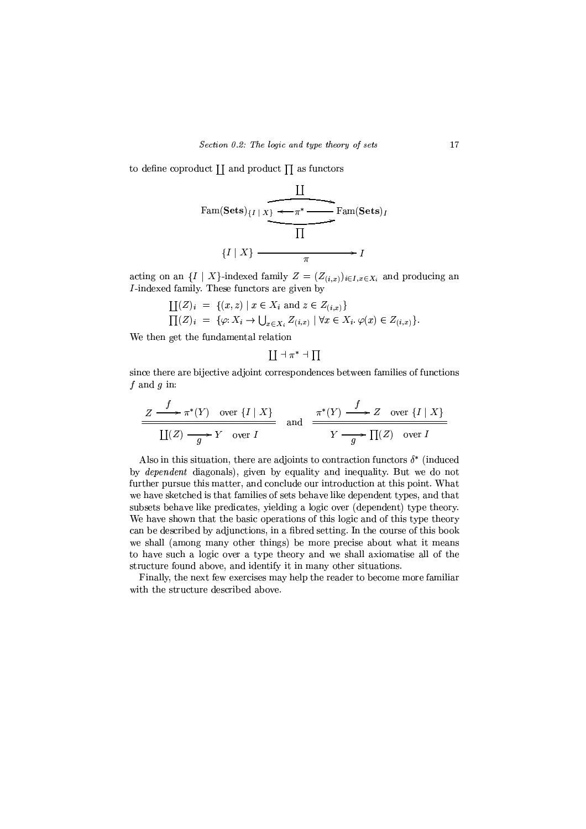to define coproduct  $\coprod$  and product  $\prod$  as functors

Fam(Sets)<sub>{*I*</sub> | *X*<sub>1</sub> 
$$
\leftarrow \pi^*
$$
  $\longrightarrow$  Fam(Sets)<sub>*I*</sub>  
\n
$$
\frac{\prod}{\prod}
$$
\n
$$
\{I | X\} \longrightarrow I
$$

acting on an  $\{I \mid X\}$ -indexed family  $Z = (Z_{(i,x)})_{i \in I, x \in X_i}$  and producing an I-indexed family. These functors are given by

$$
\begin{aligned} \Pi(Z)_i &= \{ (x, z) \mid x \in X_i \text{ and } z \in Z_{(i,x)} \} \\ \Pi(Z)_i &= \{ \varphi: X_i \to \bigcup_{x \in X_i} Z_{(i,x)} \mid \forall x \in X_i. \varphi(x) \in Z_{(i,x)} \}. \end{aligned}
$$

We then get the fundamental relation

$$
\coprod \dashv \pi^* \dashv \prod
$$

since there are bijective adjoint correspondences between families of functions f and  $g$  in:

$$
\frac{Z \xrightarrow{f} \pi^*(Y) \quad \text{over } \{I \mid X\}}{\coprod (Z) \xrightarrow{g} Y \quad \text{over } I} \quad \text{and} \quad \frac{\pi^*(Y) \xrightarrow{f} Z \quad \text{over } \{I \mid X\}}{\longrightarrow Y \xrightarrow{g} \prod (Z) \quad \text{over } I}
$$

Also in this situation, there are adjoints to contraction functors  $\delta^*$  (induced by *dependent* diagonals), given by equality and inequality. But we do not further pursue this matter, and conclude our introduction at this point. What we have sketched is that families of sets behave like dependent types, and that subsets behave like predicates, yielding a logic over (dependent) type theory. We have shown that the basic operations of this logic and of this type theory can be described by adjunctions, in a fibred setting. In the course of this book we shall (among many other things) be more precise about what it means to have such a logic over a type theory and we shall axiomatise all of the structure found above, and identify it in many other situations.

Finally, the next few exercises may help the reader to become more familiar with the structure described above.